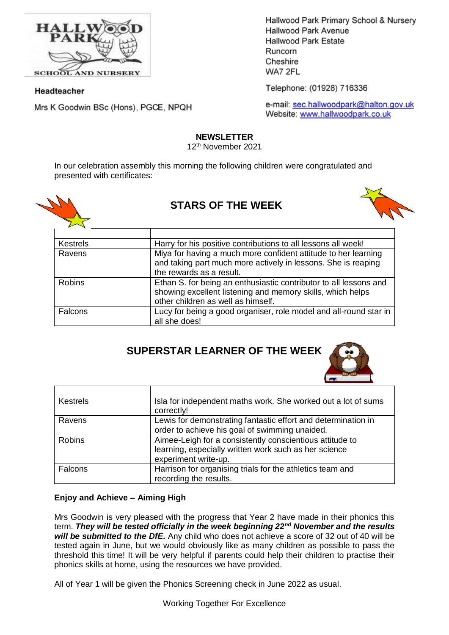

**SCHOOL AND NURSERY** 

#### Headteacher

Mrs K Goodwin BSc (Hons), PGCE, NPQH

Hallwood Park Primary School & Nursery Hallwood Park Avenue **Hallwood Park Estate** Runcorn Cheshire WA7 2FL

Telephone: (01928) 716336

e-mail: sec.hallwoodpark@halton.gov.uk Website: www.hallwoodpark.co.uk

#### **NEWSLETTER**

12th November 2021

In our celebration assembly this morning the following children were congratulated and presented with certificates:



# **STARS OF THE WEEK**



| <b>Kestrels</b> | Harry for his positive contributions to all lessons all week!                                                                                                         |
|-----------------|-----------------------------------------------------------------------------------------------------------------------------------------------------------------------|
| Ravens          | Miya for having a much more confident attitude to her learning<br>and taking part much more actively in lessons. She is reaping<br>the rewards as a result.           |
| <b>Robins</b>   | Ethan S. for being an enthusiastic contributor to all lessons and<br>showing excellent listening and memory skills, which helps<br>other children as well as himself. |
| <b>Falcons</b>  | Lucy for being a good organiser, role model and all-round star in<br>all she does!                                                                                    |

# **SUPERSTAR LEARNER OF THE WEEK**



| <b>Kestrels</b> | Isla for independent maths work. She worked out a lot of sums<br>correctly!                                                               |
|-----------------|-------------------------------------------------------------------------------------------------------------------------------------------|
| Ravens          | Lewis for demonstrating fantastic effort and determination in<br>order to achieve his goal of swimming unaided.                           |
| <b>Robins</b>   | Aimee-Leigh for a consistently conscientious attitude to<br>learning, especially written work such as her science<br>experiment write-up. |
| Falcons         | Harrison for organising trials for the athletics team and<br>recording the results.                                                       |

## **Enjoy and Achieve – Aiming High**

Mrs Goodwin is very pleased with the progress that Year 2 have made in their phonics this term. *They will be tested officially in the week beginning 22nd November and the results will be submitted to the DfE.* Any child who does not achieve a score of 32 out of 40 will be tested again in June, but we would obviously like as many children as possible to pass the threshold this time! It will be very helpful if parents could help their children to practise their phonics skills at home, using the resources we have provided.

All of Year 1 will be given the Phonics Screening check in June 2022 as usual.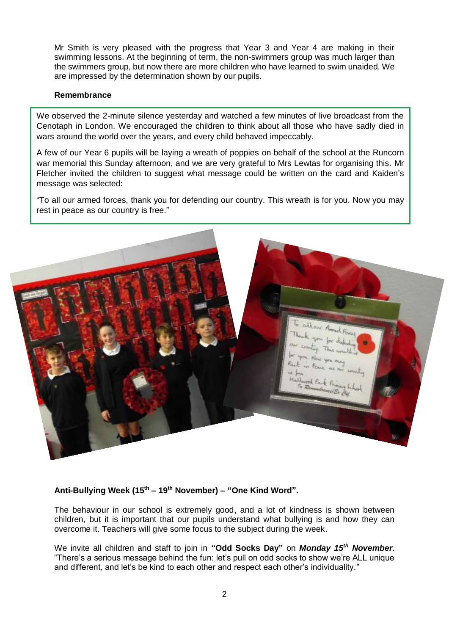Mr Smith is very pleased with the progress that Year 3 and Year 4 are making in their swimming lessons. At the beginning of term, the non-swimmers group was much larger than the swimmers group, but now there are more children who have learned to swim unaided. We are impressed by the determination shown by our pupils.

#### **Remembrance**

We observed the 2-minute silence yesterday and watched a few minutes of live broadcast from the Cenotaph in London. We encouraged the children to think about all those who have sadly died in wars around the world over the years, and every child behaved impeccably.

A few of our Year 6 pupils will be laying a wreath of poppies on behalf of the school at the Runcorn war memorial this Sunday afternoon, and we are very grateful to Mrs Lewtas for organising this. Mr Fletcher invited the children to suggest what message could be written on the card and Kaiden's message was selected:

"To all our armed forces, thank you for defending our country. This wreath is for you. Now you may rest in peace as our country is free."



#### **Anti-Bullying Week (15th – 19th November) – "One Kind Word".**

The behaviour in our school is extremely good, and a lot of kindness is shown between children, but it is important that our pupils understand what bullying is and how they can overcome it. Teachers will give some focus to the subject during the week.

We invite all children and staff to join in **"Odd Socks Day"** on *Monday 15th November*. "There's a serious message behind the fun: let's pull on odd socks to show we're ALL unique and different, and let's be kind to each other and respect each other's individuality."